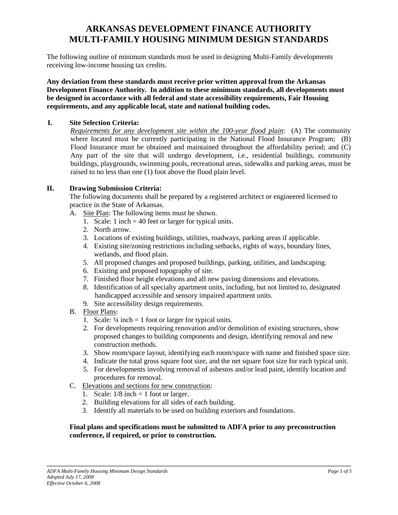# **ARKANSAS DEVELOPMENT FINANCE AUTHORITY MULTI-FAMILY HOUSING MINIMUM DESIGN STANDARDS**

The following outline of minimum standards must be used in designing Multi-Family developments receiving low-income housing tax credits.

**Any deviation from these standards must receive prior written approval from the Arkansas Development Finance Authority. In addition to these minimum standards, all developments must be designed in accordance with all federal and state accessibility requirements, Fair Housing requirements, and any applicable local, state and national building codes.** 

### **I. Site Selection Criteria:**

*Requirements for any development site within the 100-year flood plain*: (A) The community where located must be currently participating in the National Flood Insurance Program; (B) Flood Insurance must be obtained and maintained throughout the affordability period; and (C) Any part of the site that will undergo development, i.e., residential buildings, community buildings, playgrounds, swimming pools, recreational areas, sidewalks and parking areas, must be raised to no less than one (1) foot above the flood plain level.

## **II. Drawing Submission Criteria:**

The following documents shall be prepared by a registered architect or engineered licensed to practice in the State of Arkansas.

- A. Site Plan: The following items must be shown.
	- 1. Scale: 1 inch = 40 feet or larger for typical units.
	- 2. North arrow.
	- 3. Locations of existing buildings, utilities, roadways, parking areas if applicable.
	- 4. Existing site/zoning restrictions including setbacks, rights of ways, boundary lines, wetlands, and flood plain.
	- 5. All proposed changes and proposed buildings, parking, utilities, and landscaping.
	- 6. Existing and proposed topography of site.
	- 7. Finished floor height elevations and all new paving dimensions and elevations.
	- 8. Identification of all specialty apartment units, including, but not limited to, designated handicapped accessible and sensory impaired apartment units.
	- 9. Site accessibility design requirements.
- B. Floor Plans:
	- 1. Scale:  $\frac{1}{4}$  inch = 1 foot or larger for typical units.
	- 2. For developments requiring renovation and/or demolition of existing structures, show proposed changes to building components and design, identifying removal and new construction methods.
	- 3. Show room/space layout, identifying each room/space with name and finished space size.
	- 4. Indicate the total gross square foot size, and the net square foot size for each typical unit.
	- 5. For developments involving removal of asbestos and/or lead paint, identify location and procedures for removal.
- C. Elevations and sections for new construction:
	- 1. Scale:  $1/8$  inch = 1 foot or larger.
	- 2. Building elevations for all sides of each building.
	- 3. Identify all materials to be used on building exteriors and foundations.

## **Final plans and specifications must be submitted to ADFA prior to any preconstruction conference, if required, or prior to construction.**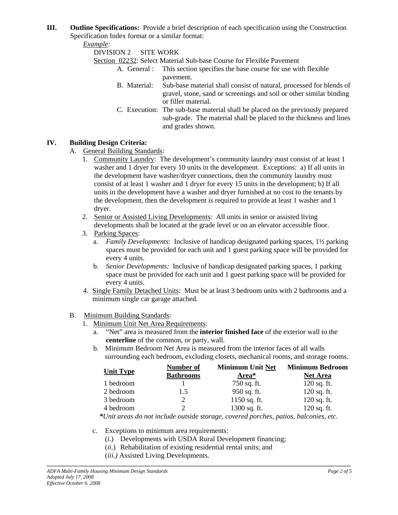**III. Outline Specifications:** Provide a brief description of each specification using the Construction Specification Index format or a similar format:

*Example:* 

DIVISION 2 SITE WORK

Section 02232: Select Material Sub-base Course for Flexible Pavement

- A. General : This section specifies the base course for use with flexible pavement.
- B. Material: Sub-base material shall consist of natural, processed for blends of gravel, stone, sand or screenings and soil or other similar binding or filler material.
- C. Execution: The sub-base material shall be placed on the previously prepared sub-grade. The material shall be placed to the thickness and lines and grades shown.

## **IV. Building Design Criteria:**

A. General Building Standards:

- 1. Community Laundry: The development's community laundry must consist of at least 1 washer and 1 dryer for every 10 units in the development. Exceptions: a) If all units in the development have washer/dryer connections, then the community laundry must consist of at least 1 washer and 1 dryer for every 15 units in the development; b) If all units in the development have a washer and dryer furnished at no cost to the tenants by the development, then the development is required to provide at least 1 washer and 1 dryer.
- 2. Senior or Assisted Living Developments: All units in senior or assisted living developments shall be located at the grade level or on an elevator accessible floor.
- 3. Parking Spaces:
	- a. *Family Developments*: Inclusive of handicap designated parking spaces, 1½ parking spaces must be provided for each unit and 1 guest parking space will be provided for every 4 units.
	- b. *Senior Developments:* Inclusive of handicap designated parking spaces, 1 parking space must be provided for each unit and 1 guest parking space will be provided for every 4 units.
- 4. Single Family Detached Units: Must be at least 3 bedroom units with 2 bathrooms and a minimum single car garage attached.

## B. Minimum Building Standards:

- 1. Minimum Unit Net Area Requirements:
	- a. "Net" area is measured from the **interior finished face** of the exterior wall to the **centerline** of the common, or party, wall.
	- b. Minimum Bedroom Net Area is measured from the interior faces of all walls surrounding each bedroom, excluding closets, mechanical rooms, and storage rooms.

| <b>Unit Type</b> | <b>Number of</b><br><b>Bathrooms</b> | <b>Minimum Unit Net</b><br>Area* | <b>Minimum Bedroom</b><br><b>Net Area</b> |
|------------------|--------------------------------------|----------------------------------|-------------------------------------------|
|                  |                                      |                                  |                                           |
| 2 bedroom        | 1.5                                  | 950 sq. ft.                      | $120$ sq. ft.                             |
| 3 bedroom        |                                      | $1150$ sq. ft.                   | $120$ sq. ft.                             |
| 4 bedroom        |                                      | 1300 sq. ft.                     | $120$ sq. ft.                             |
|                  |                                      |                                  |                                           |

*\*Unit areas do not include outside storage, covered porches, patios, balconies, etc.* 

- c. Exceptions to minimum area requirements:
	- (*i.*) Developments with USDA Rural Development financing;
	- (*ii.*) Rehabilitation of existing residential rental units; and
	- (*iii.)* Assisted Living Developments.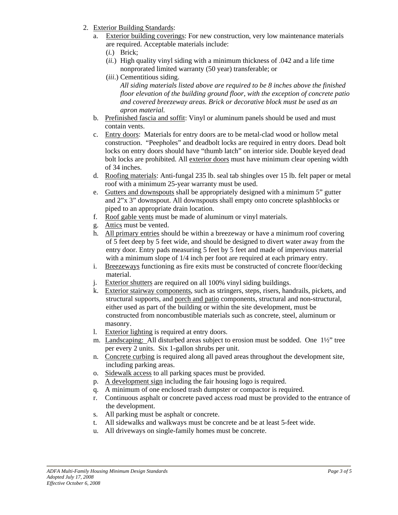- 2. Exterior Building Standards:
	- a. Exterior building coverings: For new construction, very low maintenance materials are required. Acceptable materials include:
		- (*i.*) Brick;
		- (*ii.*) High quality vinyl siding with a minimum thickness of .042 and a life time nonprorated limited warranty (50 year) transferable; or
		- (*iii*.) Cementitious siding.

*All siding materials listed above are required to be 8 inches above the finished floor elevation of the building ground floor, with the exception of concrete patio and covered breezeway areas. Brick or decorative block must be used as an apron material.* 

- b. Prefinished fascia and soffit: Vinyl or aluminum panels should be used and must contain vents.
- c. Entry doors: Materials for entry doors are to be metal-clad wood or hollow metal construction. "Peepholes" and deadbolt locks are required in entry doors. Dead bolt locks on entry doors should have "thumb latch" on interior side. Double keyed dead bolt locks are prohibited. All exterior doors must have minimum clear opening width of 34 inches.
- d. Roofing materials: Anti-fungal 235 lb. seal tab shingles over 15 lb. felt paper or metal roof with a minimum 25-year warranty must be used.
- e. Gutters and downspouts shall be appropriately designed with a minimum 5" gutter and 2"x 3" downspout. All downspouts shall empty onto concrete splashblocks or piped to an appropriate drain location.
- f. Roof gable vents must be made of aluminum or vinyl materials.
- g. Attics must be vented.
- h. All primary entries should be within a breezeway or have a minimum roof covering of 5 feet deep by 5 feet wide, and should be designed to divert water away from the entry door. Entry pads measuring 5 feet by 5 feet and made of impervious material with a minimum slope of 1/4 inch per foot are required at each primary entry.
- i. Breezeways functioning as fire exits must be constructed of concrete floor/decking material.
- j. Exterior shutters are required on all 100% vinyl siding buildings.
- k. Exterior stairway components, such as stringers, steps, risers, handrails, pickets, and structural supports, and porch and patio components, structural and non-structural, either used as part of the building or within the site development, must be constructed from noncombustible materials such as concrete, steel, aluminum or masonry.
- l. Exterior lighting is required at entry doors.
- m. Landscaping: All disturbed areas subject to erosion must be sodded. One 1½" tree per every 2 units. Six 1-gallon shrubs per unit.
- n. Concrete curbing is required along all paved areas throughout the development site, including parking areas.
- o. Sidewalk access to all parking spaces must be provided.
- p. A development sign including the fair housing logo is required.
- q. A minimum of one enclosed trash dumpster or compactor is required.
- r. Continuous asphalt or concrete paved access road must be provided to the entrance of the development.
- s. All parking must be asphalt or concrete.
- t. All sidewalks and walkways must be concrete and be at least 5-feet wide.
- u. All driveways on single-family homes must be concrete.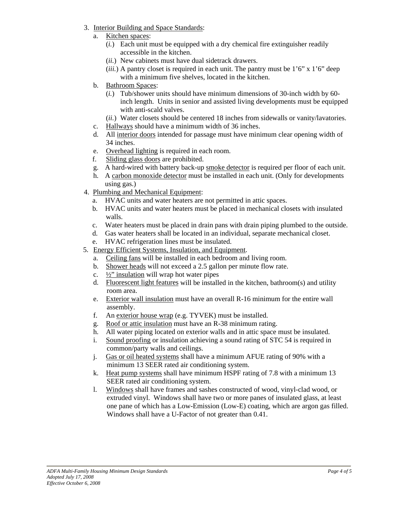- 3. Interior Building and Space Standards:
	- a. Kitchen spaces:
		- (*i.*) Each unit must be equipped with a dry chemical fire extinguisher readily accessible in the kitchen.
		- (*ii.*) New cabinets must have dual sidetrack drawers.
		- (*iii.*) A pantry closet is required in each unit. The pantry must be  $1'6''$  x  $1'6''$  deep with a minimum five shelves, located in the kitchen.
	- b. Bathroom Spaces:
		- (*i.*) Tub/shower units should have minimum dimensions of 30-inch width by 60 inch length. Units in senior and assisted living developments must be equipped with anti-scald valves.
		- (*ii.*) Water closets should be centered 18 inches from sidewalls or vanity/lavatories.
	- c. Hallways should have a minimum width of 36 inches.
	- d. All interior doors intended for passage must have minimum clear opening width of 34 inches.
	- e. Overhead lighting is required in each room.
	- f. Sliding glass doors are prohibited.
	- g. A hard-wired with battery back-up smoke detector is required per floor of each unit.
	- h. A carbon monoxide detector must be installed in each unit. (Only for developments using gas.)
- 4. Plumbing and Mechanical Equipment:
	- a. HVAC units and water heaters are not permitted in attic spaces.
	- b. HVAC units and water heaters must be placed in mechanical closets with insulated walls.
	- c. Water heaters must be placed in drain pans with drain piping plumbed to the outside.
	- d. Gas water heaters shall be located in an individual, separate mechanical closet.
	- e. HVAC refrigeration lines must be insulated.
- 5. Energy Efficient Systems, Insulation, and Equipment.
	- a. Ceiling fans will be installed in each bedroom and living room.
	- b. Shower heads will not exceed a 2.5 gallon per minute flow rate.
	- c.  $\frac{1}{2}$ " insulation will wrap hot water pipes
	- d. Fluorescent light features will be installed in the kitchen, bathroom(s) and utility room area.
	- e. Exterior wall insulation must have an overall R-16 minimum for the entire wall assembly.
	- f. An exterior house wrap (e.g. TYVEK) must be installed.
	- g. Roof or attic insulation must have an R-38 minimum rating.
	- h. All water piping located on exterior walls and in attic space must be insulated.
	- i. Sound proofing or insulation achieving a sound rating of STC 54 is required in common/party walls and ceilings.
	- j. Gas or oil heated systems shall have a minimum AFUE rating of 90% with a minimum 13 SEER rated air conditioning system.
	- k. Heat pump systems shall have minimum HSPF rating of 7.8 with a minimum 13 SEER rated air conditioning system.
	- l. Windows shall have frames and sashes constructed of wood, vinyl-clad wood, or extruded vinyl. Windows shall have two or more panes of insulated glass, at least one pane of which has a Low-Emission (Low-E) coating, which are argon gas filled. Windows shall have a U-Factor of not greater than 0.41.